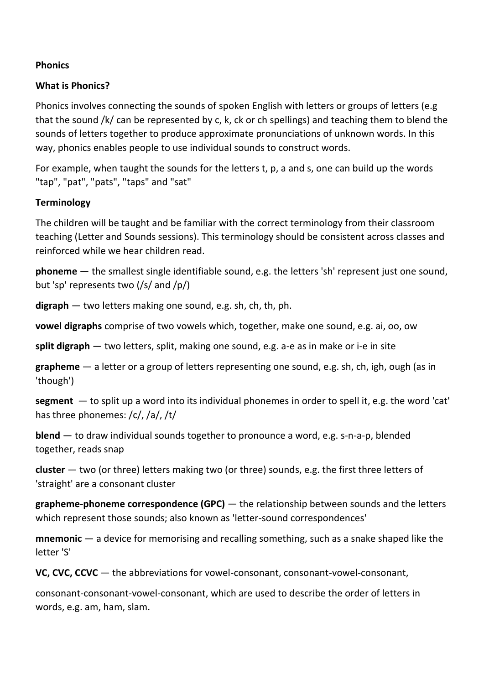### **Phonics**

### **What is Phonics?**

Phonics involves connecting the sounds of spoken English with letters or groups of letters (e.g that the sound /k/ can be represented by c, k, ck or ch spellings) and teaching them to blend the sounds of letters together to produce approximate pronunciations of unknown words. In this way, phonics enables people to use individual sounds to construct words.

For example, when taught the sounds for the letters t, p, a and s, one can build up the words "tap", "pat", "pats", "taps" and "sat"

#### **Terminology**

The children will be taught and be familiar with the correct terminology from their classroom teaching (Letter and Sounds sessions). This terminology should be consistent across classes and reinforced while we hear children read.

**phoneme** — the smallest single identifiable sound, e.g. the letters 'sh' represent just one sound, but 'sp' represents two  $\frac{1}{s}$  and  $\frac{1}{p}$ )

**digraph** — two letters making one sound, e.g. sh, ch, th, ph.

**vowel digraphs** comprise of two vowels which, together, make one sound, e.g. ai, oo, ow

**split digraph** — two letters, split, making one sound, e.g. a-e as in make or i-e in site

**grapheme** — a letter or a group of letters representing one sound, e.g. sh, ch, igh, ough (as in 'though')

**segment** — to split up a word into its individual phonemes in order to spell it, e.g. the word 'cat' has three phonemes: /c/, /a/, /t/

**blend** — to draw individual sounds together to pronounce a word, e.g. s-n-a-p, blended together, reads snap

**cluster** — two (or three) letters making two (or three) sounds, e.g. the first three letters of 'straight' are a consonant cluster

**grapheme-phoneme correspondence (GPC)** — the relationship between sounds and the letters which represent those sounds; also known as 'letter-sound correspondences'

**mnemonic** — a device for memorising and recalling something, such as a snake shaped like the letter 'S'

**VC, CVC, CCVC** — the abbreviations for vowel-consonant, consonant-vowel-consonant,

consonant-consonant-vowel-consonant, which are used to describe the order of letters in words, e.g. am, ham, slam.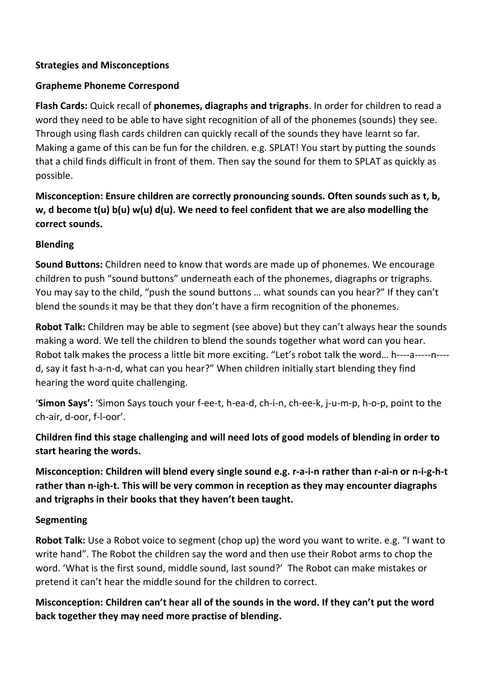### **Strategies and Misconceptions**

### **Grapheme Phoneme Correspond**

**Flash Cards:** Quick recall of **phonemes, diagraphs and trigraphs**. In order for children to read a word they need to be able to have sight recognition of all of the phonemes (sounds) they see. Through using flash cards children can quickly recall of the sounds they have learnt so far. Making a game of this can be fun for the children. e.g. SPLAT! You start by putting the sounds that a child finds difficult in front of them. Then say the sound for them to SPLAT as quickly as possible.

**Misconception: Ensure children are correctly pronouncing sounds. Often sounds such as t, b, w, d become t(u) b(u) w(u) d(u). We need to feel confident that we are also modelling the correct sounds.**

### **Blending**

**Sound Buttons:** Children need to know that words are made up of phonemes. We encourage children to push "sound buttons" underneath each of the phonemes, diagraphs or trigraphs. You may say to the child, "push the sound buttons … what sounds can you hear?" If they can't blend the sounds it may be that they don't have a firm recognition of the phonemes.

**Robot Talk:** Children may be able to segment (see above) but they can't always hear the sounds making a word. We tell the children to blend the sounds together what word can you hear. Robot talk makes the process a little bit more exciting. "Let's robot talk the word… h----a-----n--- d, say it fast h-a-n-d, what can you hear?" When children initially start blending they find hearing the word quite challenging.

'**Simon Says':** 'Simon Says touch your f-ee-t, h-ea-d, ch-i-n, ch-ee-k, j-u-m-p, h-o-p, point to the ch-air, d-oor, f-l-oor'.

**Children find this stage challenging and will need lots of good models of blending in order to start hearing the words.**

**Misconception: Children will blend every single sound e.g. r-a-i-n rather than r-ai-n or n-i-g-h-t rather than n-igh-t. This will be very common in reception as they may encounter diagraphs and trigraphs in their books that they haven't been taught.**

#### **Segmenting**

**Robot Talk:** Use a Robot voice to segment (chop up) the word you want to write. e.g. "I want to write hand". The Robot the children say the word and then use their Robot arms to chop the word. 'What is the first sound, middle sound, last sound?' The Robot can make mistakes or pretend it can't hear the middle sound for the children to correct.

**Misconception: Children can't hear all of the sounds in the word. If they can't put the word back together they may need more practise of blending.**